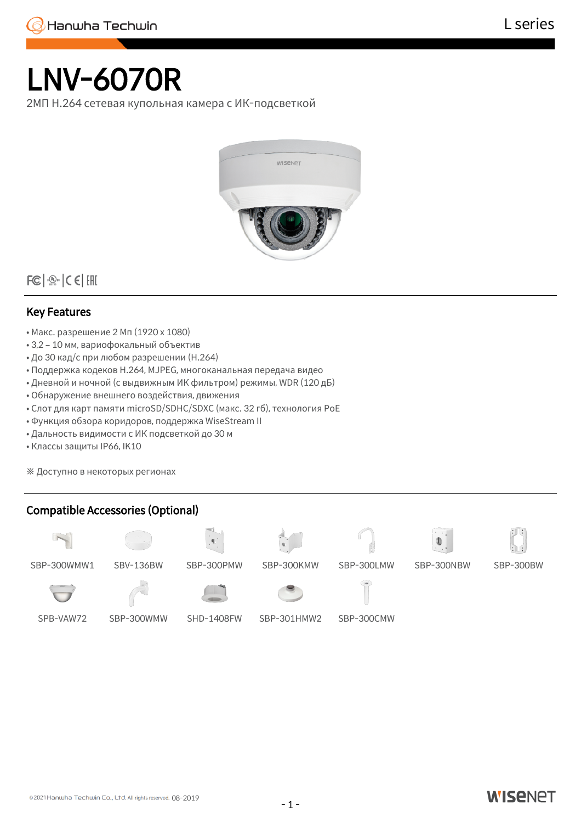

# LNV-6070R

2МП H.264 сетевая купольная камера с ИК-подсветкой



 $|FC|$   $\frac{1}{2}$   $C$   $C$   $|CHI|$ 

## Key Features

- Макс. разрешение 2 Мп (1920 x 1080)
- 3,2 10 мм, вариофокальный объектив
- До 30 кад/с при любом разрешении (H.264)
- Поддержка кодеков H.264, MJPEG, многоканальная передача видео
- Дневной и ночной (с выдвижным ИК фильтром) режимы, WDR (120 дБ)
- Обнаружение внешнего воздействия, движения
- Слот для карт памяти microSD/SDHC/SDXC (макс. 32 гб), технология PoE
- Функция обзора коридоров, поддержка WiseStream II
- Дальность видимости с ИК подсветкой до 30 м
- Классы защиты IP66, IK10

※ Доступно в некоторых регионах

## Compatible Accessories (Optional)











SBP-300WMW1 SBV-136BW SBP-300PMW SBP-300KMW SBP-300LMW SBP-300NBW SBP-300BW







SPB-VAW72 SBP-300WMW SHD-1408FW SBP-301HMW2 SBP-300CMW

© 2021 Hanwha Techwin Co., Ltd. All rights reserved. 08-2019

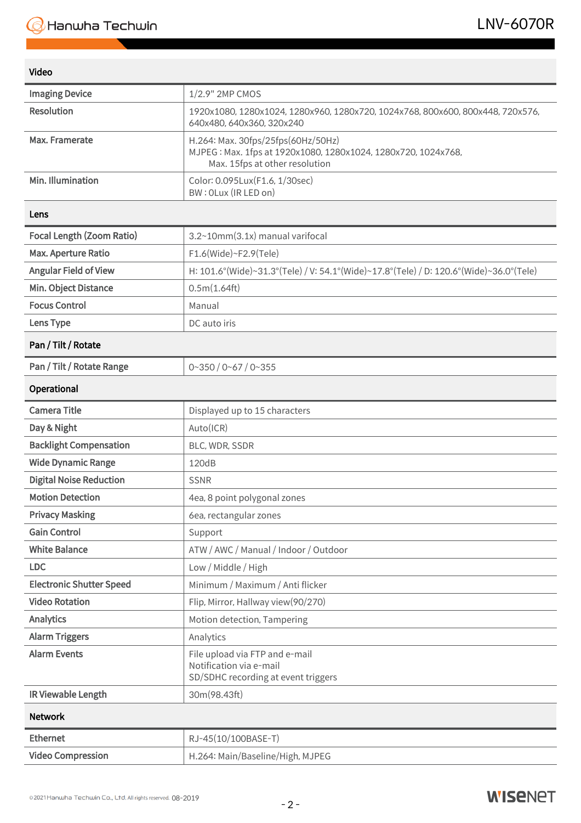| Video |  |
|-------|--|

| <b>Imaging Device</b>            | 1/2.9" 2MP CMOS                                                                                                                       |
|----------------------------------|---------------------------------------------------------------------------------------------------------------------------------------|
| <b>Resolution</b>                | 1920x1080, 1280x1024, 1280x960, 1280x720, 1024x768, 800x600, 800x448, 720x576,<br>640x480, 640x360, 320x240                           |
| Max. Framerate                   | H.264: Max. 30fps/25fps(60Hz/50Hz)<br>MJPEG: Max. 1fps at 1920x1080, 1280x1024, 1280x720, 1024x768,<br>Max. 15fps at other resolution |
| Min. Illumination                | Color: 0.095Lux(F1.6, 1/30sec)<br>BW: OLux (IR LED on)                                                                                |
| Lens                             |                                                                                                                                       |
| <b>Focal Length (Zoom Ratio)</b> | 3.2~10mm(3.1x) manual varifocal                                                                                                       |
| <b>Max. Aperture Ratio</b>       | F1.6(Wide)~F2.9(Tele)                                                                                                                 |
| <b>Angular Field of View</b>     | H: 101.6°(Wide)~31.3°(Tele) / V: 54.1°(Wide)~17.8°(Tele) / D: 120.6°(Wide)~36.0°(Tele)                                                |
| Min. Object Distance             | 0.5m(1.64ft)                                                                                                                          |
| <b>Focus Control</b>             | Manual                                                                                                                                |
| Lens Type                        | DC auto iris                                                                                                                          |
| Pan / Tilt / Rotate              |                                                                                                                                       |
| Pan / Tilt / Rotate Range        | $0 - 350 / 0 - 67 / 0 - 355$                                                                                                          |
| Operational                      |                                                                                                                                       |
| <b>Camera Title</b>              | Displayed up to 15 characters                                                                                                         |
| Day & Night                      | Auto(ICR)                                                                                                                             |
| <b>Backlight Compensation</b>    | BLC, WDR, SSDR                                                                                                                        |
| <b>Wide Dynamic Range</b>        | 120dB                                                                                                                                 |
| <b>Digital Noise Reduction</b>   | <b>SSNR</b>                                                                                                                           |
| <b>Motion Detection</b>          | 4ea, 8 point polygonal zones                                                                                                          |
| <b>Privacy Masking</b>           | 6ea, rectangular zones                                                                                                                |
| <b>Gain Control</b>              | Support                                                                                                                               |
| <b>White Balance</b>             | ATW / AWC / Manual / Indoor / Outdoor                                                                                                 |
| <b>LDC</b>                       | Low / Middle / High                                                                                                                   |
| <b>Electronic Shutter Speed</b>  | Minimum / Maximum / Anti flicker                                                                                                      |
| <b>Video Rotation</b>            | Flip, Mirror, Hallway view(90/270)                                                                                                    |
| <b>Analytics</b>                 | Motion detection, Tampering                                                                                                           |
| <b>Alarm Triggers</b>            | Analytics                                                                                                                             |
| <b>Alarm Events</b>              | File upload via FTP and e-mail<br>Notification via e-mail<br>SD/SDHC recording at event triggers                                      |
| IR Viewable Length               | 30m(98.43ft)                                                                                                                          |
| <b>Network</b>                   |                                                                                                                                       |
| <b>Ethernet</b>                  | RJ-45(10/100BASE-T)                                                                                                                   |
| <b>Video Compression</b>         | H.264: Main/Baseline/High, MJPEG                                                                                                      |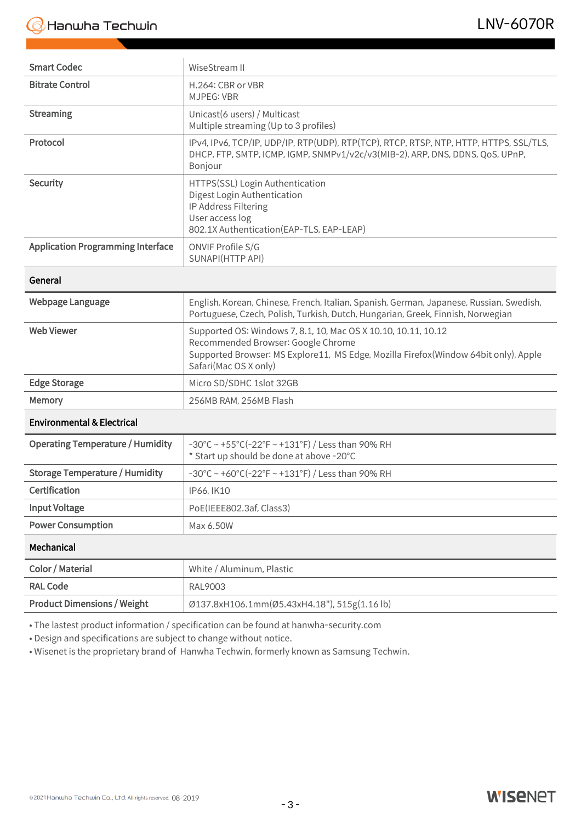| <b>Smart Codec</b>                       | WiseStream II                                                                                                                                                                                                        |  |
|------------------------------------------|----------------------------------------------------------------------------------------------------------------------------------------------------------------------------------------------------------------------|--|
| <b>Bitrate Control</b>                   | H.264: CBR or VBR<br><b>MJPEG: VBR</b>                                                                                                                                                                               |  |
| <b>Streaming</b>                         | Unicast(6 users) / Multicast<br>Multiple streaming (Up to 3 profiles)                                                                                                                                                |  |
| Protocol                                 | IPv4, IPv6, TCP/IP, UDP/IP, RTP(UDP), RTP(TCP), RTCP, RTSP, NTP, HTTP, HTTPS, SSL/TLS,<br>DHCP, FTP, SMTP, ICMP, IGMP, SNMPv1/v2c/v3(MIB-2), ARP, DNS, DDNS, QoS, UPnP,<br>Bonjour                                   |  |
| <b>Security</b>                          | HTTPS(SSL) Login Authentication<br>Digest Login Authentication<br>IP Address Filtering<br>User access log<br>802.1X Authentication (EAP-TLS, EAP-LEAP)                                                               |  |
| <b>Application Programming Interface</b> | ONVIF Profile S/G<br>SUNAPI(HTTP API)                                                                                                                                                                                |  |
| General                                  |                                                                                                                                                                                                                      |  |
| Webpage Language                         | English, Korean, Chinese, French, Italian, Spanish, German, Japanese, Russian, Swedish,<br>Portuguese, Czech, Polish, Turkish, Dutch, Hungarian, Greek, Finnish, Norwegian                                           |  |
| <b>Web Viewer</b>                        | Supported OS: Windows 7, 8.1, 10, Mac OS X 10.10, 10.11, 10.12<br>Recommended Browser: Google Chrome<br>Supported Browser: MS Explore11, MS Edge, Mozilla Firefox(Window 64bit only), Apple<br>Safari(Mac OS X only) |  |
| <b>Edge Storage</b>                      | Micro SD/SDHC 1slot 32GB                                                                                                                                                                                             |  |
| Memory                                   | 256MB RAM, 256MB Flash                                                                                                                                                                                               |  |

#### Environmental & Electrical

| <b>Operating Temperature / Humidity</b> | $-30^{\circ}$ C ~ +55 $^{\circ}$ C(-22 $^{\circ}$ F ~ +131 $^{\circ}$ F) / Less than 90% RH<br>* Start up should be done at above -20°C |
|-----------------------------------------|-----------------------------------------------------------------------------------------------------------------------------------------|
| <b>Storage Temperature / Humidity</b>   | $-30^{\circ}$ C ~ +60°C(-22°F ~ +131°F) / Less than 90% RH                                                                              |
| <b>Certification</b>                    | IP66. IK10                                                                                                                              |
| <b>Input Voltage</b>                    | PoE(IEEE802.3af, Class3)                                                                                                                |
| <b>Power Consumption</b>                | Max 6.50W                                                                                                                               |
|                                         |                                                                                                                                         |

#### Mechanical

| Color / Material                   | White / Aluminum, Plastic                    |
|------------------------------------|----------------------------------------------|
| <b>RAL Code</b>                    | RAL9003                                      |
| <b>Product Dimensions / Weight</b> | Ø137.8xH106.1mm(Ø5.43xH4.18"), 515g(1.16 lb) |

• The lastest product information / specification can be found at hanwha-security.com

• Design and specifications are subject to change without notice.

• Wisenet is the proprietary brand of Hanwha Techwin, formerly known as Samsung Techwin.